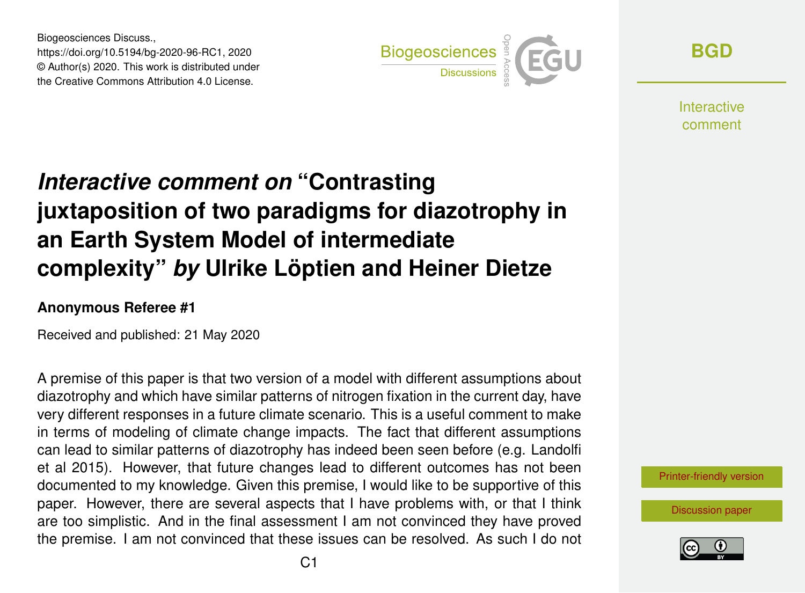Biogeosciences Discuss., https://doi.org/10.5194/bg-2020-96-RC1, 2020 © Author(s) 2020. This work is distributed under the Creative Commons Attribution 4.0 License.



**[BGD](https://www.biogeosciences-discuss.net/)**

**Interactive** comment

# *Interactive comment on* **"Contrasting juxtaposition of two paradigms for diazotrophy in an Earth System Model of intermediate complexity"** *by* **Ulrike Löptien and Heiner Dietze**

#### **Anonymous Referee #1**

Received and published: 21 May 2020

A premise of this paper is that two version of a model with different assumptions about diazotrophy and which have similar patterns of nitrogen fixation in the current day, have very different responses in a future climate scenario. This is a useful comment to make in terms of modeling of climate change impacts. The fact that different assumptions can lead to similar patterns of diazotrophy has indeed been seen before (e.g. Landolfi et al 2015). However, that future changes lead to different outcomes has not been documented to my knowledge. Given this premise, I would like to be supportive of this paper. However, there are several aspects that I have problems with, or that I think are too simplistic. And in the final assessment I am not convinced they have proved the premise. I am not convinced that these issues can be resolved. As such I do not

[Printer-friendly version](https://www.biogeosciences-discuss.net/bg-2020-96/bg-2020-96-RC1-print.pdf)

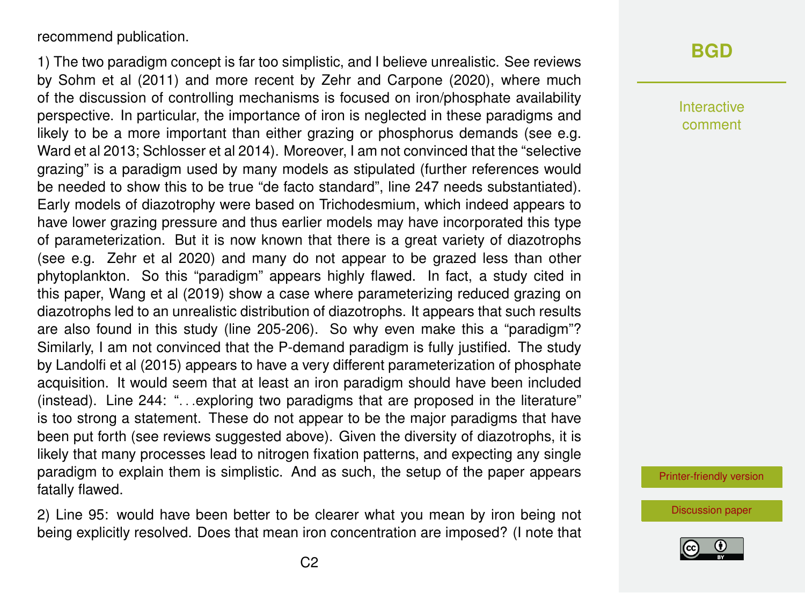recommend publication.

1) The two paradigm concept is far too simplistic, and I believe unrealistic. See reviews by Sohm et al (2011) and more recent by Zehr and Carpone (2020), where much of the discussion of controlling mechanisms is focused on iron/phosphate availability perspective. In particular, the importance of iron is neglected in these paradigms and likely to be a more important than either grazing or phosphorus demands (see e.g. Ward et al 2013; Schlosser et al 2014). Moreover, I am not convinced that the "selective grazing" is a paradigm used by many models as stipulated (further references would be needed to show this to be true "de facto standard", line 247 needs substantiated). Early models of diazotrophy were based on Trichodesmium, which indeed appears to have lower grazing pressure and thus earlier models may have incorporated this type of parameterization. But it is now known that there is a great variety of diazotrophs (see e.g. Zehr et al 2020) and many do not appear to be grazed less than other phytoplankton. So this "paradigm" appears highly flawed. In fact, a study cited in this paper, Wang et al (2019) show a case where parameterizing reduced grazing on diazotrophs led to an unrealistic distribution of diazotrophs. It appears that such results are also found in this study (line 205-206). So why even make this a "paradigm"? Similarly, I am not convinced that the P-demand paradigm is fully justified. The study by Landolfi et al (2015) appears to have a very different parameterization of phosphate acquisition. It would seem that at least an iron paradigm should have been included (instead). Line 244: ". . .exploring two paradigms that are proposed in the literature" is too strong a statement. These do not appear to be the major paradigms that have been put forth (see reviews suggested above). Given the diversity of diazotrophs, it is likely that many processes lead to nitrogen fixation patterns, and expecting any single paradigm to explain them is simplistic. And as such, the setup of the paper appears fatally flawed.

2) Line 95: would have been better to be clearer what you mean by iron being not being explicitly resolved. Does that mean iron concentration are imposed? (I note that

#### **[BGD](https://www.biogeosciences-discuss.net/)**

Interactive comment

[Printer-friendly version](https://www.biogeosciences-discuss.net/bg-2020-96/bg-2020-96-RC1-print.pdf)

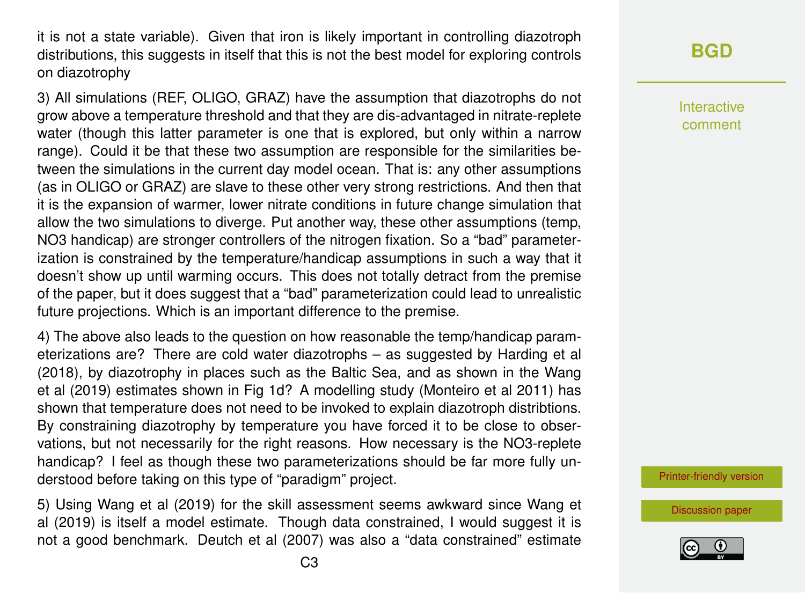it is not a state variable). Given that iron is likely important in controlling diazotroph distributions, this suggests in itself that this is not the best model for exploring controls on diazotrophy

3) All simulations (REF, OLIGO, GRAZ) have the assumption that diazotrophs do not grow above a temperature threshold and that they are dis-advantaged in nitrate-replete water (though this latter parameter is one that is explored, but only within a narrow range). Could it be that these two assumption are responsible for the similarities between the simulations in the current day model ocean. That is: any other assumptions (as in OLIGO or GRAZ) are slave to these other very strong restrictions. And then that it is the expansion of warmer, lower nitrate conditions in future change simulation that allow the two simulations to diverge. Put another way, these other assumptions (temp, NO3 handicap) are stronger controllers of the nitrogen fixation. So a "bad" parameterization is constrained by the temperature/handicap assumptions in such a way that it doesn't show up until warming occurs. This does not totally detract from the premise of the paper, but it does suggest that a "bad" parameterization could lead to unrealistic future projections. Which is an important difference to the premise.

4) The above also leads to the question on how reasonable the temp/handicap parameterizations are? There are cold water diazotrophs – as suggested by Harding et al (2018), by diazotrophy in places such as the Baltic Sea, and as shown in the Wang et al (2019) estimates shown in Fig 1d? A modelling study (Monteiro et al 2011) has shown that temperature does not need to be invoked to explain diazotroph distribtions. By constraining diazotrophy by temperature you have forced it to be close to observations, but not necessarily for the right reasons. How necessary is the NO3-replete handicap? I feel as though these two parameterizations should be far more fully understood before taking on this type of "paradigm" project.

5) Using Wang et al (2019) for the skill assessment seems awkward since Wang et al (2019) is itself a model estimate. Though data constrained, I would suggest it is not a good benchmark. Deutch et al (2007) was also a "data constrained" estimate

## **[BGD](https://www.biogeosciences-discuss.net/)**

Interactive comment

[Printer-friendly version](https://www.biogeosciences-discuss.net/bg-2020-96/bg-2020-96-RC1-print.pdf)

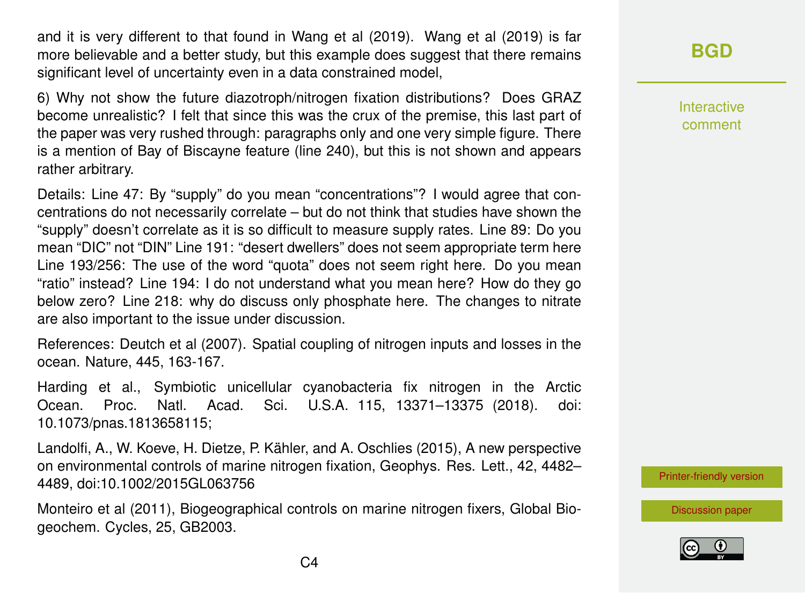and it is very different to that found in Wang et al (2019). Wang et al (2019) is far more believable and a better study, but this example does suggest that there remains significant level of uncertainty even in a data constrained model,

6) Why not show the future diazotroph/nitrogen fixation distributions? Does GRAZ become unrealistic? I felt that since this was the crux of the premise, this last part of the paper was very rushed through: paragraphs only and one very simple figure. There is a mention of Bay of Biscayne feature (line 240), but this is not shown and appears rather arbitrary.

Details: Line 47: By "supply" do you mean "concentrations"? I would agree that concentrations do not necessarily correlate – but do not think that studies have shown the "supply" doesn't correlate as it is so difficult to measure supply rates. Line 89: Do you mean "DIC" not "DIN" Line 191: "desert dwellers" does not seem appropriate term here Line 193/256: The use of the word "quota" does not seem right here. Do you mean "ratio" instead? Line 194: I do not understand what you mean here? How do they go below zero? Line 218: why do discuss only phosphate here. The changes to nitrate are also important to the issue under discussion.

References: Deutch et al (2007). Spatial coupling of nitrogen inputs and losses in the ocean. Nature, 445, 163-167.

Harding et al., Symbiotic unicellular cyanobacteria fix nitrogen in the Arctic Ocean. Proc. Natl. Acad. Sci. U.S.A. 115, 13371–13375 (2018). doi: 10.1073/pnas.1813658115;

Landolfi, A., W. Koeve, H. Dietze, P. Kähler, and A. Oschlies (2015), A new perspective on environmental controls of marine nitrogen fixation, Geophys. Res. Lett., 42, 4482– 4489, doi:10.1002/2015GL063756

Monteiro et al (2011), Biogeographical controls on marine nitrogen fixers, Global Biogeochem. Cycles, 25, GB2003.

## **[BGD](https://www.biogeosciences-discuss.net/)**

Interactive comment

[Printer-friendly version](https://www.biogeosciences-discuss.net/bg-2020-96/bg-2020-96-RC1-print.pdf)